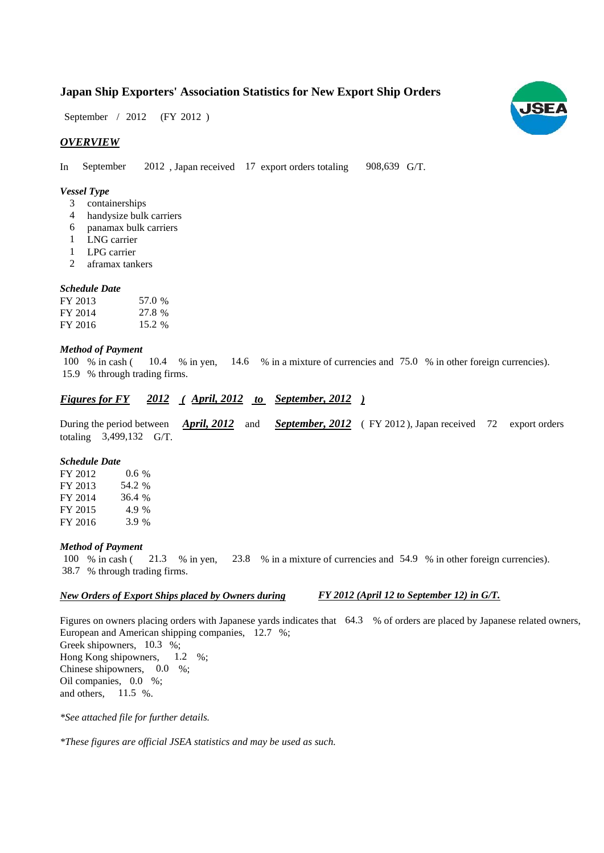# **Japan Ship Exporters' Association Statistics for New Export Ship Orders**

September / 2012 (FY 2012)

# *OVERVIEW*

In September 2012, Japan received 17 export orders totaling 908,639 G/T.

#### *Vessel Type*

- containerships 3
- handysize bulk carriers 4
- panamax bulk carriers 6
- LNG carrier 1
- LPG carrier 1
- aframax tankers  $\mathcal{D}$

#### *Schedule Date*

| FY 2013 | 57.0 % |
|---------|--------|
| FY 2014 | 27.8 % |
| FY 2016 | 15.2 % |

# *Method of Payment*

% in cash ( $\frac{10.4}{8}$  in yen,  $\frac{14.6}{8}$  in a mixture of currencies and 75.0 % in other foreign currencies). % through trading firms. 15.9 100 % in cash (

# *Figures for FY ( to ) September, 2012 2012 April, 2012*

During the period between *April, 2012* and *September, 2012* (FY 2012), Japan received 72 export orders totaling 3,499,132 G/T. *April, 2012*

#### *Schedule Date*

FY 2012 FY 2013 FY 2014 FY 2015 FY 2016 36.4 4.9 % 3.9 % 54.2 0.6 %

#### *Method of Payment*

% in cash ( $\frac{21.3}{8}$  % in yen,  $\frac{23.8}{8}$  % in a mixture of currencies and 54.9 % in other foreign currencies). % through trading firms. 38.7 100 % in cash (21.3 % in yen,

# *New Orders of Export Ships placed by Owners during*

*FY 2012 (April 12 to September 12) in G/T.*

Figures on owners placing orders with Japanese yards indicates that  $64.3$  % of orders are placed by Japanese related owners, European and American shipping companies, 12.7 %; Greek shipowners, 10.3 %; Hong Kong shipowners,  $1.2 \%$ ; Chinese shipowners,  $0.0\%$ ; Oil companies,  $0.0\%$ ; and others,  $11.5\%$ . 1.2

*\*See attached file for further details.*

*\*These figures are official JSEA statistics and may be used as such.*

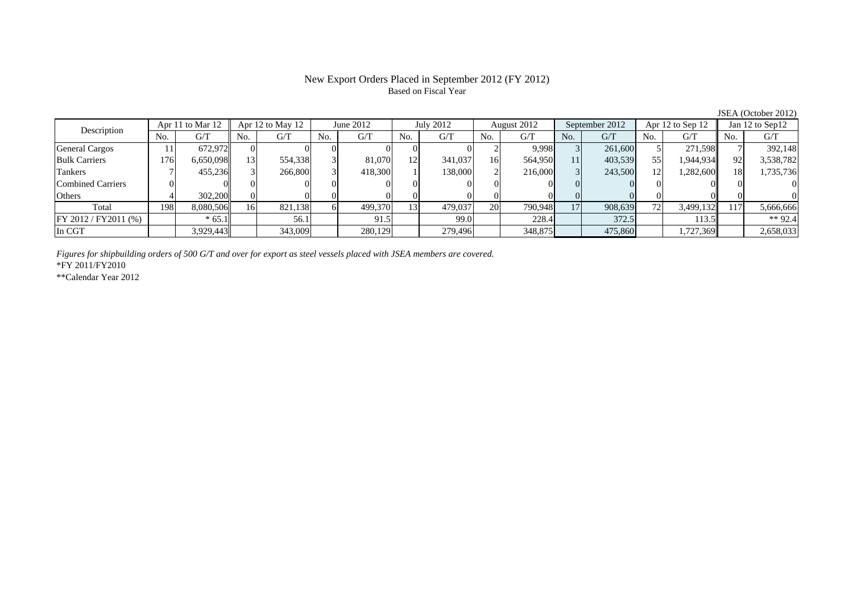# New Export Orders Placed in September 2012 (FY 2012) Based on Fiscal Year

|                       | Apr 11 to Mar 12<br>Description |           |     | Apr 12 to May 12<br>June 2012 |     | July 2012 |                 | August 2012 |     | September 2012 |     | Apr 12 to Sep 12 |     | Jan 12 to Sep12 |     |           |
|-----------------------|---------------------------------|-----------|-----|-------------------------------|-----|-----------|-----------------|-------------|-----|----------------|-----|------------------|-----|-----------------|-----|-----------|
|                       | No.                             | G/T       | No. | G/T                           | No. | G/T       | No.             | G/T         | No. | G/T            | No. | G/T              | No. | G/T             | No. | G/T       |
| <b>General Cargos</b> |                                 | 672.972   |     |                               |     |           |                 |             |     | 9,998          |     | 261,600          |     | 271.598L        |     | 392,148   |
| <b>Bulk Carriers</b>  | 176                             | 6,650,098 |     | 554,338                       |     | 81,070    | 12              | 341,037     | 16  | 564.950        | 11  | 403,539          | 55  | 1,944,934       | 92  | 3,538,782 |
| Tankers               |                                 | 455,236   |     | 266,800                       |     | 418,300   |                 | 138,000     |     | 216,000        |     | 243,500          |     | 1,282,600       | 181 | 1,735,736 |
| Combined Carriers     |                                 |           |     |                               |     |           |                 |             |     |                |     |                  |     |                 |     |           |
| Others                |                                 | 302,200   |     |                               |     |           |                 |             |     |                |     |                  |     |                 |     |           |
| Total                 | 198                             | 8.080.506 | 16  | 821,138                       |     | 499,370   | 13 <sub>1</sub> | 479,037     | 20  | 790,948        | 17  | 908,639          |     | 3,499,132       |     | 5,666,666 |
| FY 2012 / FY2011 (%)  |                                 | $*65.1$   |     | 56.1                          |     | 91.5      |                 | 99.0        |     | 228.4          |     | 372.5            |     | 113.5           |     | ** 92.4   |
| In CGT                |                                 | 3,929,443 |     | 343,009                       |     | 280,129   |                 | 279,496     |     | 348,875        |     | 475,860          |     | 1,727,369       |     | 2,658,033 |

*Figures for shipbuilding orders of 500 G/T and over for export as steel vessels placed with JSEA members are covered.*

\*FY 2011/FY2010

\*\*Calendar Year 2012

JSEA (October 2012)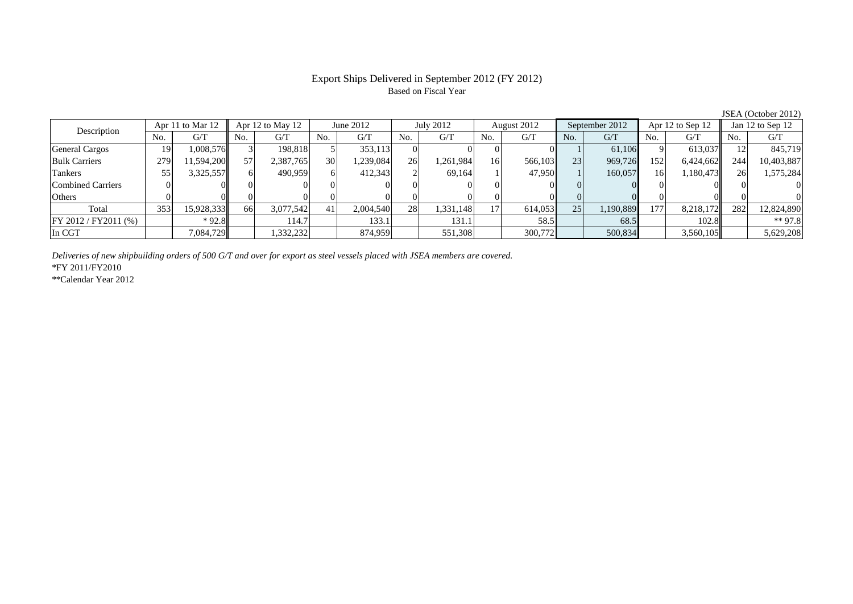# Export Ships Delivered in September 2012 (FY 2012) Based on Fiscal Year

| Apr 11 to Mar 12<br>Description |     | Apr 12 to May 12 |     | June 2012 |                 | July 2012 |     | August 2012 |     | September 2012 |     | Apr 12 to Sep 12 |          | Jan 12 to Sep 12 |     |            |
|---------------------------------|-----|------------------|-----|-----------|-----------------|-----------|-----|-------------|-----|----------------|-----|------------------|----------|------------------|-----|------------|
|                                 | No. | G/T              | No. | G/T       | No.             | G/T       | No. | G/T         | No. | G/T            | No. | G/T              | No.      | G/T              | No. | G/T        |
| <b>General Cargos</b>           | 19  | 1,008,576        |     | 198.818   |                 | 353.113   |     |             |     |                |     | 61.106           |          | 613,037          |     | 845,719    |
| <b>Bulk Carriers</b>            | 279 | 11,594,200       |     | 2,387,765 | 30 <sup>l</sup> | 1,239,084 | 26  | ,261,984    | 16  | 566,103        | 23  | 969,726          | 152      | 6,424,662        | 244 | 10,403,887 |
| <b>Tankers</b>                  | 55  | 3,325,557        |     | 490,959   |                 | 412,343   |     | 69.164      |     | 47,950         |     | 160,057          | 16       | 1,180,473        | 26  | 1,575,284  |
| <b>Combined Carriers</b>        |     |                  |     |           |                 |           |     |             |     |                |     |                  | $\Omega$ |                  |     |            |
| Others                          |     |                  |     |           |                 |           |     |             |     |                |     |                  |          |                  |     |            |
| Total                           | 353 | 15,928,333       | 66I | 3,077,542 | 41              | 2.004.540 | 28  | 1,331,148   |     | 614,053        | 25  | 1,190,889        | 177      | 8,218,172        | 282 | 12,824,890 |
| FY 2012 / FY 2011 (%)           |     | $*92.8$          |     | 114.7     |                 | 133.1     |     | 131.1       |     | 58.5           |     | 68.5             |          | 102.8            |     | $** 97.8$  |
| In CGT                          |     | 7,084,729        |     | .332,232  |                 | 874,959   |     | 551,308     |     | 300,772        |     | 500,834          |          | 3,560,105        |     | 5,629,208  |

*Deliveries of new shipbuilding orders of 500 G/T and over for export as steel vessels placed with JSEA members are covered.*

\*FY 2011/FY2010

\*\*Calendar Year 2012

JSEA (October 2012)